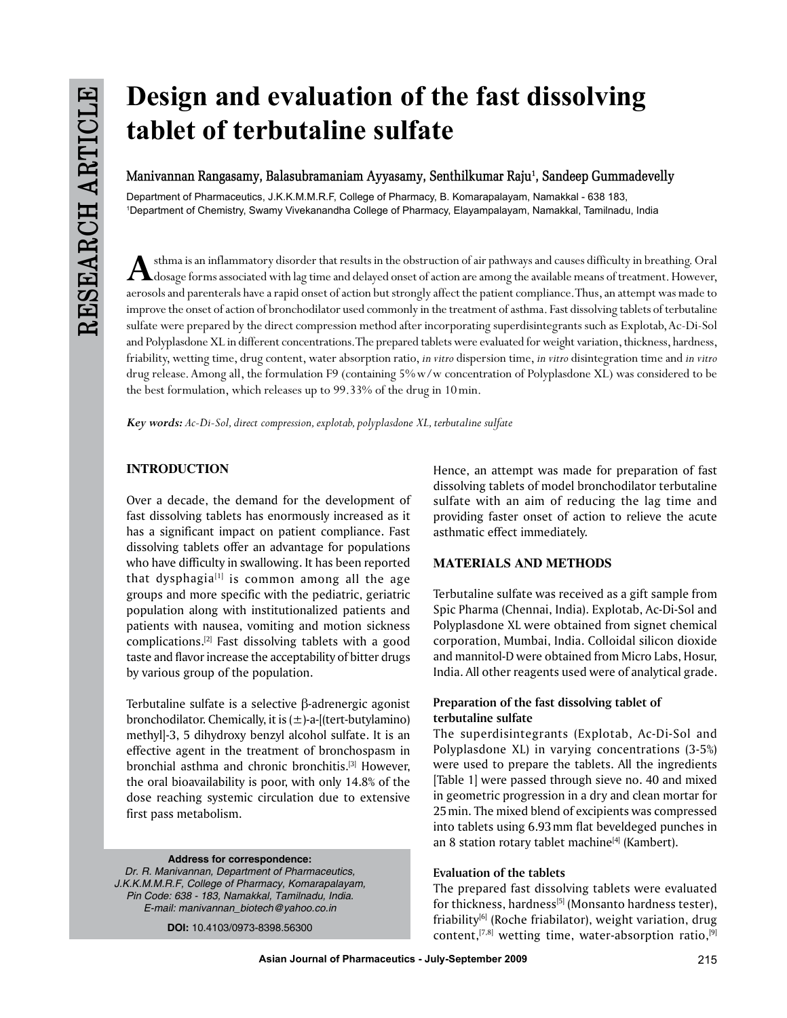# **Design and evaluation of the fast dissolving tablet of terbutaline sulfate**

# Manivannan Rangasamy, Balasubramaniam Ayyasamy, Senthilkumar Raju<sup>1</sup>, Sandeep Gummadevelly

Department of Pharmaceutics, J.K.K.M.M.R.F, College of Pharmacy, B. Komarapalayam, Namakkal - 638 183, 1 Department of Chemistry, Swamy Vivekanandha College of Pharmacy, Elayampalayam, Namakkal, Tamilnadu, India

A sthma is an inflammatory disorder that results in the obstruction of air pathways and causes difficulty in breathing. Oral dosage forms associated with lag time and delayed onset of action are among the available means o aerosols and parenterals have a rapid onset of action but strongly affect the patient compliance. Thus, an attempt was made to improve the onset of action of bronchodilator used commonly in the treatment of asthma. Fast dissolving tablets of terbutaline sulfate were prepared by the direct compression method after incorporating superdisintegrants such as Explotab, Ac-Di-Sol and Polyplasdone XL in different concentrations. The prepared tablets were evaluated for weight variation, thickness, hardness, friability, wetting time, drug content, water absorption ratio, *in vitro* dispersion time, *in vitro* disintegration time and *in vitro* drug release. Among all, the formulation F9 (containing 5%w/w concentration of Polyplasdone XL) was considered to be the best formulation, which releases up to 99.33% of the drug in 10min.

*Key words: Ac-Di-Sol, direct compression, explotab, polyplasdone XL, terbutaline sulfate*

# **INTRODUCTION**

Over a decade, the demand for the development of fast dissolving tablets has enormously increased as it has a significant impact on patient compliance. Fast dissolving tablets offer an advantage for populations who have difficulty in swallowing. It has been reported that dysphagia $[1]$  is common among all the age groups and more specific with the pediatric, geriatric population along with institutionalized patients and patients with nausea, vomiting and motion sickness complications.[2] Fast dissolving tablets with a good taste and flavor increase the acceptability of bitter drugs by various group of the population.

Terbutaline sulfate is a selective β-adrenergic agonist bronchodilator. Chemically, it is  $(\pm)$ -a- $[$ (tert-butylamino) methyl]-3, 5 dihydroxy benzyl alcohol sulfate. It is an effective agent in the treatment of bronchospasm in bronchial asthma and chronic bronchitis.[3] However, the oral bioavailability is poor, with only 14.8% of the dose reaching systemic circulation due to extensive first pass metabolism.

**Address for correspondence:** *Dr. R. Manivannan, Department of Pharmaceutics, J.K.K.M.M.R.F, College of Pharmacy, Komarapalayam, Pin Code: 638 - 183, Namakkal, Tamilnadu, India. E-mail: manivannan\_biotech@yahoo.co.in*

**DOI:** 10.4103/0973-8398.56300

Hence, an attempt was made for preparation of fast dissolving tablets of model bronchodilator terbutaline sulfate with an aim of reducing the lag time and providing faster onset of action to relieve the acute asthmatic effect immediately.

#### **Materials and Methods**

Terbutaline sulfate was received as a gift sample from Spic Pharma (Chennai, India). Explotab, Ac-Di-Sol and Polyplasdone XL were obtained from signet chemical corporation, Mumbai, India. Colloidal silicon dioxide and mannitol-D were obtained from Micro Labs, Hosur, India. All other reagents used were of analytical grade.

### **Preparation of the fast dissolving tablet of terbutaline sulfate**

The superdisintegrants (Explotab, Ac-Di-Sol and Polyplasdone XL) in varying concentrations (3-5%) were used to prepare the tablets. All the ingredients [Table 1] were passed through sieve no. 40 and mixed in geometric progression in a dry and clean mortar for 25min. The mixed blend of excipients was compressed into tablets using 6.93mm flat beveldeged punches in an 8 station rotary tablet machine<sup>[4]</sup> (Kambert).

#### **Evaluation of the tablets**

The prepared fast dissolving tablets were evaluated for thickness, hardness<sup>[5]</sup> (Monsanto hardness tester), friability<sup>[6]</sup> (Roche friabilator), weight variation, drug content,  $[7,8]$  wetting time, water-absorption ratio,  $[9]$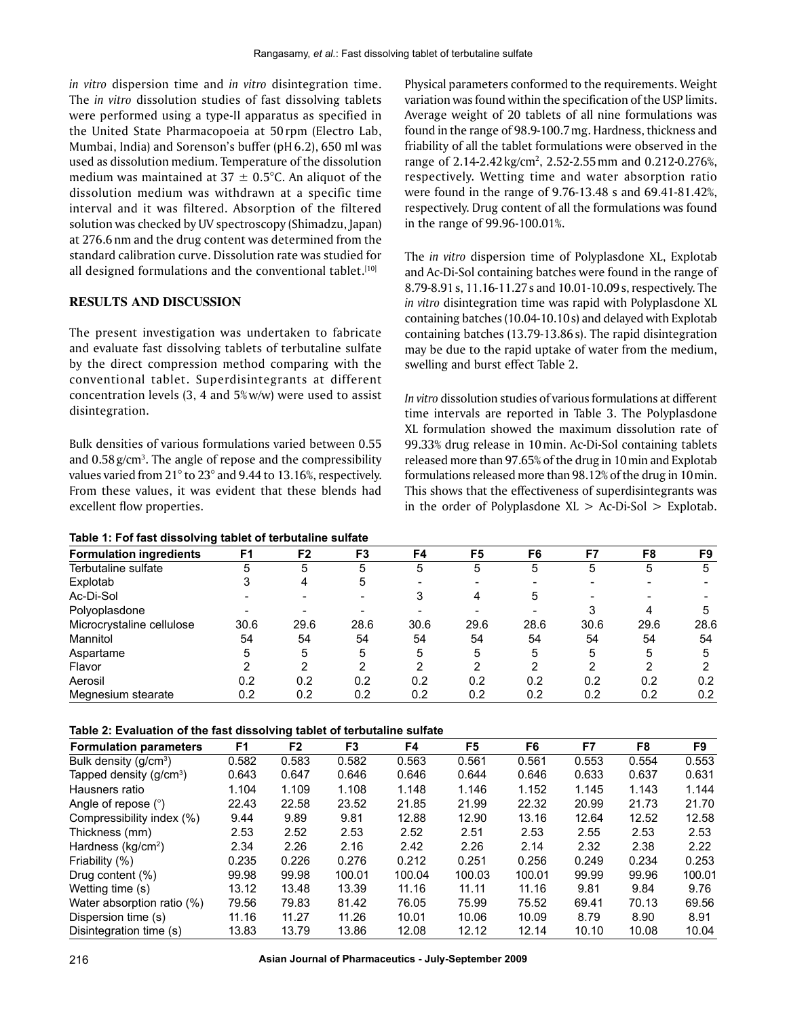*in vitro* dispersion time and *in vitro* disintegration time. The *in vitro* dissolution studies of fast dissolving tablets were performed using a type-II apparatus as specified in the United State Pharmacopoeia at 50 rpm (Electro Lab, Mumbai, India) and Sorenson's buffer (pH6.2), 650 ml was used as dissolution medium. Temperature of the dissolution medium was maintained at  $37 \pm 0.5$ °C. An aliquot of the dissolution medium was withdrawn at a specific time interval and it was filtered. Absorption of the filtered solution was checked by UV spectroscopy (Shimadzu, Japan) at 276.6 nm and the drug content was determined from the standard calibration curve. Dissolution rate was studied for all designed formulations and the conventional tablet. $[10]$ 

#### **RESULTS AND DISCUSSION**

The present investigation was undertaken to fabricate and evaluate fast dissolving tablets of terbutaline sulfate by the direct compression method comparing with the conventional tablet. Superdisintegrants at different concentration levels (3, 4 and 5% w/w) were used to assist disintegration.

Bulk densities of various formulations varied between 0.55 and  $0.58$   $g/cm<sup>3</sup>$ . The angle of repose and the compressibility values varied from 21° to 23° and 9.44 to 13.16%, respectively. From these values, it was evident that these blends had excellent flow properties.

| Table 1: Fof fast dissolving tablet of terbutaline sulfate |
|------------------------------------------------------------|
|------------------------------------------------------------|

Physical parameters conformed to the requirements. Weight variation was found within the specification of the USP limits. Average weight of 20 tablets of all nine formulations was found in the range of 98.9-100.7mg. Hardness, thickness and friability of all the tablet formulations were observed in the range of 2.14-2.42 kg/cm<sup>2</sup>, 2.52-2.55 mm and 0.212-0.276%, respectively. Wetting time and water absorption ratio were found in the range of 9.76-13.48 s and 69.41-81.42%, respectively. Drug content of all the formulations was found in the range of 99.96-100.01%.

The *in vitro* dispersion time of Polyplasdone XL, Explotab and Ac-Di-Sol containing batches were found in the range of 8.79-8.91s, 11.16-11.27s and 10.01-10.09s, respectively. The *in vitro* disintegration time was rapid with Polyplasdone XL containing batches (10.04-10.10s) and delayed with Explotab containing batches (13.79-13.86s). The rapid disintegration may be due to the rapid uptake of water from the medium, swelling and burst effect Table 2.

*in vitro* dissolution studies of various formulations at different time intervals are reported in Table 3. The Polyplasdone XL formulation showed the maximum dissolution rate of 99.33% drug release in 10min. Ac-Di-Sol containing tablets released more than 97.65% of the drug in 10min and Explotab formulations released more than 98.12% of the drug in 10min. This shows that the effectiveness of superdisintegrants was in the order of Polyplasdone  $XL > Ac-Di-Sol > Explotab$ .

|                                | F <sub>1</sub> | F <sub>2</sub> | F <sub>3</sub> | F4   | F5   | F6   | F7   | F8   | F9   |
|--------------------------------|----------------|----------------|----------------|------|------|------|------|------|------|
| <b>Formulation ingredients</b> |                |                |                |      |      |      |      |      |      |
| Terbutaline sulfate            | 5              | 5              | 5              | 5    | 5    | 5    | 5    | 5    | 5    |
| Explotab                       |                | 4              | 5              | -    |      |      |      |      |      |
| Ac-Di-Sol                      |                |                |                | 3    |      | 5    |      |      |      |
| Polyoplasdone                  |                |                |                |      |      |      |      |      |      |
| Microcrystaline cellulose      | 30.6           | 29.6           | 28.6           | 30.6 | 29.6 | 28.6 | 30.6 | 29.6 | 28.6 |
| Mannitol                       | 54             | 54             | 54             | 54   | 54   | 54   | 54   | 54   | 54   |
| Aspartame                      | 5              | 5              | 5              | 5    | 5    | 5    | 5    | 5    | 5    |
| Flavor                         | ົ              |                | າ              | າ    | ◠    | າ    | ົ    |      |      |
| Aerosil                        | 0.2            | 0.2            | 0.2            | 0.2  | 0.2  | 0.2  | 0.2  | 0.2  | 0.2  |
| Megnesium stearate             | 0.2            | 0.2            | 0.2            | 0.2  | 0.2  | 0.2  | 0.2  | 0.2  | 0.2  |

**Table 2: Evaluation of the fast dissolving tablet of terbutaline sulfate**

| <b>Formulation parameters</b>     | F <sub>1</sub> | F <sub>2</sub> | F <sub>3</sub> | F4     | F5     | F6     | F7    | F8    | F9     |
|-----------------------------------|----------------|----------------|----------------|--------|--------|--------|-------|-------|--------|
| Bulk density (g/cm <sup>3</sup> ) | 0.582          | 0.583          | 0.582          | 0.563  | 0.561  | 0.561  | 0.553 | 0.554 | 0.553  |
| Tapped density $(g/cm3)$          | 0.643          | 0.647          | 0.646          | 0.646  | 0.644  | 0.646  | 0.633 | 0.637 | 0.631  |
| Hausners ratio                    | 1.104          | 1.109          | 1.108          | 1.148  | 1.146  | 1.152  | 1.145 | 1.143 | 1.144  |
| Angle of repose $(°)$             | 22.43          | 22.58          | 23.52          | 21.85  | 21.99  | 22.32  | 20.99 | 21.73 | 21.70  |
| Compressibility index (%)         | 9.44           | 9.89           | 9.81           | 12.88  | 12.90  | 13.16  | 12.64 | 12.52 | 12.58  |
| Thickness (mm)                    | 2.53           | 2.52           | 2.53           | 2.52   | 2.51   | 2.53   | 2.55  | 2.53  | 2.53   |
| Hardness ( $kq/cm2$ )             | 2.34           | 2.26           | 2.16           | 2.42   | 2.26   | 2.14   | 2.32  | 2.38  | 2.22   |
| Friability (%)                    | 0.235          | 0.226          | 0.276          | 0.212  | 0.251  | 0.256  | 0.249 | 0.234 | 0.253  |
| Drug content (%)                  | 99.98          | 99.98          | 100.01         | 100.04 | 100.03 | 100.01 | 99.99 | 99.96 | 100.01 |
| Wetting time (s)                  | 13.12          | 13.48          | 13.39          | 11.16  | 11.11  | 11.16  | 9.81  | 9.84  | 9.76   |
| Water absorption ratio (%)        | 79.56          | 79.83          | 81.42          | 76.05  | 75.99  | 75.52  | 69.41 | 70.13 | 69.56  |
| Dispersion time (s)               | 11.16          | 11.27          | 11.26          | 10.01  | 10.06  | 10.09  | 8.79  | 8.90  | 8.91   |
| Disintegration time (s)           | 13.83          | 13.79          | 13.86          | 12.08  | 12.12  | 12.14  | 10.10 | 10.08 | 10.04  |